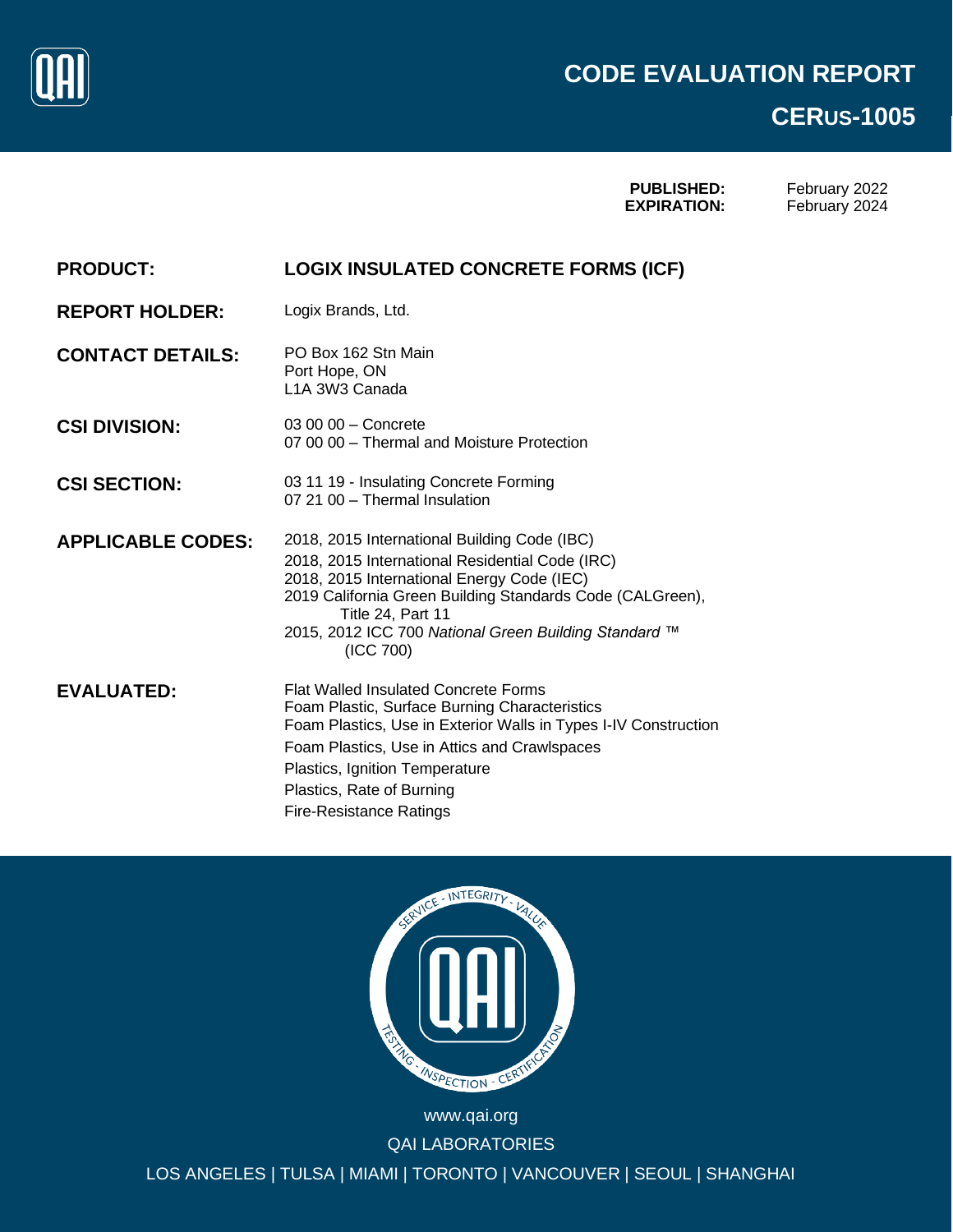

# Page 0 of 11 **CERUS-1005**

**PUBLISHED: EXPIRATION:**

February 2022 February 2024

| <b>PRODUCT:</b>          | <b>LOGIX INSULATED CONCRETE FORMS (ICF)</b>                                                                                                                                                                                                                                                                      |
|--------------------------|------------------------------------------------------------------------------------------------------------------------------------------------------------------------------------------------------------------------------------------------------------------------------------------------------------------|
| <b>REPORT HOLDER:</b>    | Logix Brands, Ltd.                                                                                                                                                                                                                                                                                               |
| <b>CONTACT DETAILS:</b>  | PO Box 162 Stn Main<br>Port Hope, ON<br>L <sub>1</sub> A 3W <sub>3</sub> Canada                                                                                                                                                                                                                                  |
| <b>CSI DIVISION:</b>     | 03 00 00 - Concrete<br>07 00 00 - Thermal and Moisture Protection                                                                                                                                                                                                                                                |
| <b>CSI SECTION:</b>      | 03 11 19 - Insulating Concrete Forming<br>07 21 00 - Thermal Insulation                                                                                                                                                                                                                                          |
| <b>APPLICABLE CODES:</b> | 2018, 2015 International Building Code (IBC)<br>2018, 2015 International Residential Code (IRC)<br>2018, 2015 International Energy Code (IEC)<br>2019 California Green Building Standards Code (CALGreen),<br>Title 24, Part 11<br>2015, 2012 ICC 700 National Green Building Standard ™<br>(ICC 700)            |
| <b>EVALUATED:</b>        | <b>Flat Walled Insulated Concrete Forms</b><br>Foam Plastic, Surface Burning Characteristics<br>Foam Plastics, Use in Exterior Walls in Types I-IV Construction<br>Foam Plastics, Use in Attics and Crawlspaces<br>Plastics, Ignition Temperature<br>Plastics, Rate of Burning<br><b>Fire-Resistance Ratings</b> |



QAI LABORATORIES LOS ANGELES | TULSA | MIAMI | TORONTO | VANCOUVER | SEOUL | SHANGHAI www.qai.org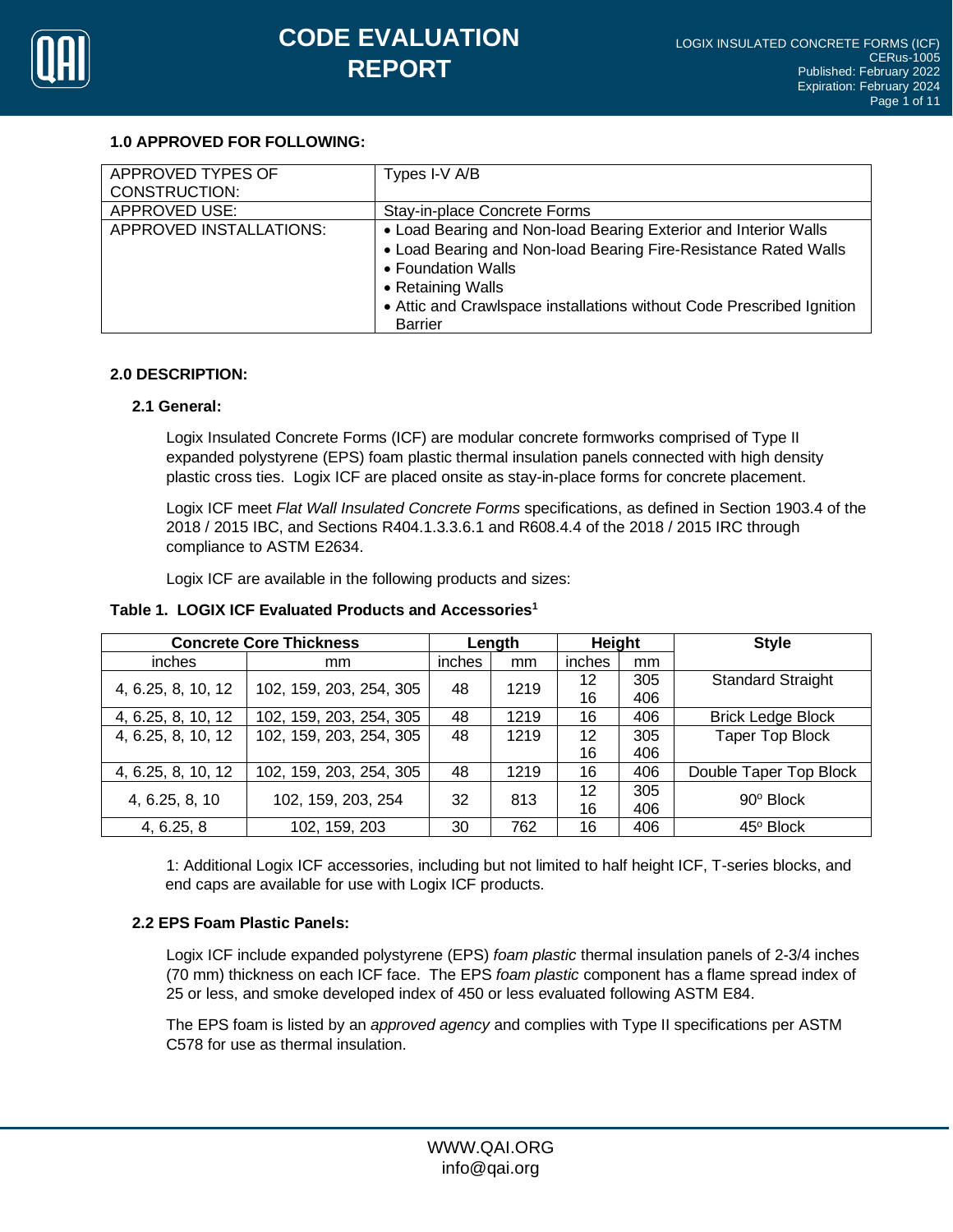

### **1.0 APPROVED FOR FOLLOWING:**

| APPROVED TYPES OF       | Types I-V A/B                                                         |
|-------------------------|-----------------------------------------------------------------------|
| <b>CONSTRUCTION:</b>    |                                                                       |
| <b>APPROVED USE:</b>    | Stay-in-place Concrete Forms                                          |
| APPROVED INSTALLATIONS: | • Load Bearing and Non-load Bearing Exterior and Interior Walls       |
|                         | • Load Bearing and Non-load Bearing Fire-Resistance Rated Walls       |
|                         | • Foundation Walls                                                    |
|                         | • Retaining Walls                                                     |
|                         | • Attic and Crawlspace installations without Code Prescribed Ignition |
|                         | <b>Barrier</b>                                                        |

### **2.0 DESCRIPTION:**

### **2.1 General:**

Logix Insulated Concrete Forms (ICF) are modular concrete formworks comprised of Type II expanded polystyrene (EPS) foam plastic thermal insulation panels connected with high density plastic cross ties. Logix ICF are placed onsite as stay-in-place forms for concrete placement.

Logix ICF meet *Flat Wall Insulated Concrete Forms* specifications, as defined in Section 1903.4 of the 2018 / 2015 IBC, and Sections R404.1.3.3.6.1 and R608.4.4 of the 2018 / 2015 IRC through compliance to ASTM E2634.

Logix ICF are available in the following products and sizes:

| <b>Concrete Core Thickness</b> |                         |        | Length | Height |     | <b>Style</b>             |
|--------------------------------|-------------------------|--------|--------|--------|-----|--------------------------|
| inches                         | mm                      | inches | mm     | inches | mm  |                          |
|                                |                         | 48     | 1219   | 12     | 305 | <b>Standard Straight</b> |
| 4, 6.25, 8, 10, 12             | 102, 159, 203, 254, 305 |        |        | 16     | 406 |                          |
| 4, 6.25, 8, 10, 12             | 102, 159, 203, 254, 305 | 48     | 1219   | 16     | 406 | <b>Brick Ledge Block</b> |
| 4, 6.25, 8, 10, 12             | 102, 159, 203, 254, 305 | 48     | 1219   | 12     | 305 | <b>Taper Top Block</b>   |
|                                |                         |        |        | 16     | 406 |                          |
| 4, 6.25, 8, 10, 12             | 102, 159, 203, 254, 305 | 48     | 1219   | 16     | 406 | Double Taper Top Block   |
| 4, 6.25, 8, 10                 | 102, 159, 203, 254      | 32     | 813    | 12     | 305 | 90° Block                |
|                                |                         |        |        | 16     | 406 |                          |
| 4, 6.25, 8                     | 102, 159, 203           | 30     | 762    | 16     | 406 | 45° Block                |

#### **Table 1. LOGIX ICF Evaluated Products and Accessories<sup>1</sup>**

1: Additional Logix ICF accessories, including but not limited to half height ICF, T-series blocks, and end caps are available for use with Logix ICF products.

## **2.2 EPS Foam Plastic Panels:**

Logix ICF include expanded polystyrene (EPS) *foam plastic* thermal insulation panels of 2-3/4 inches (70 mm) thickness on each ICF face. The EPS *foam plastic* component has a flame spread index of 25 or less, and smoke developed index of 450 or less evaluated following ASTM E84.

The EPS foam is listed by an *approved agency* and complies with Type II specifications per ASTM C578 for use as thermal insulation.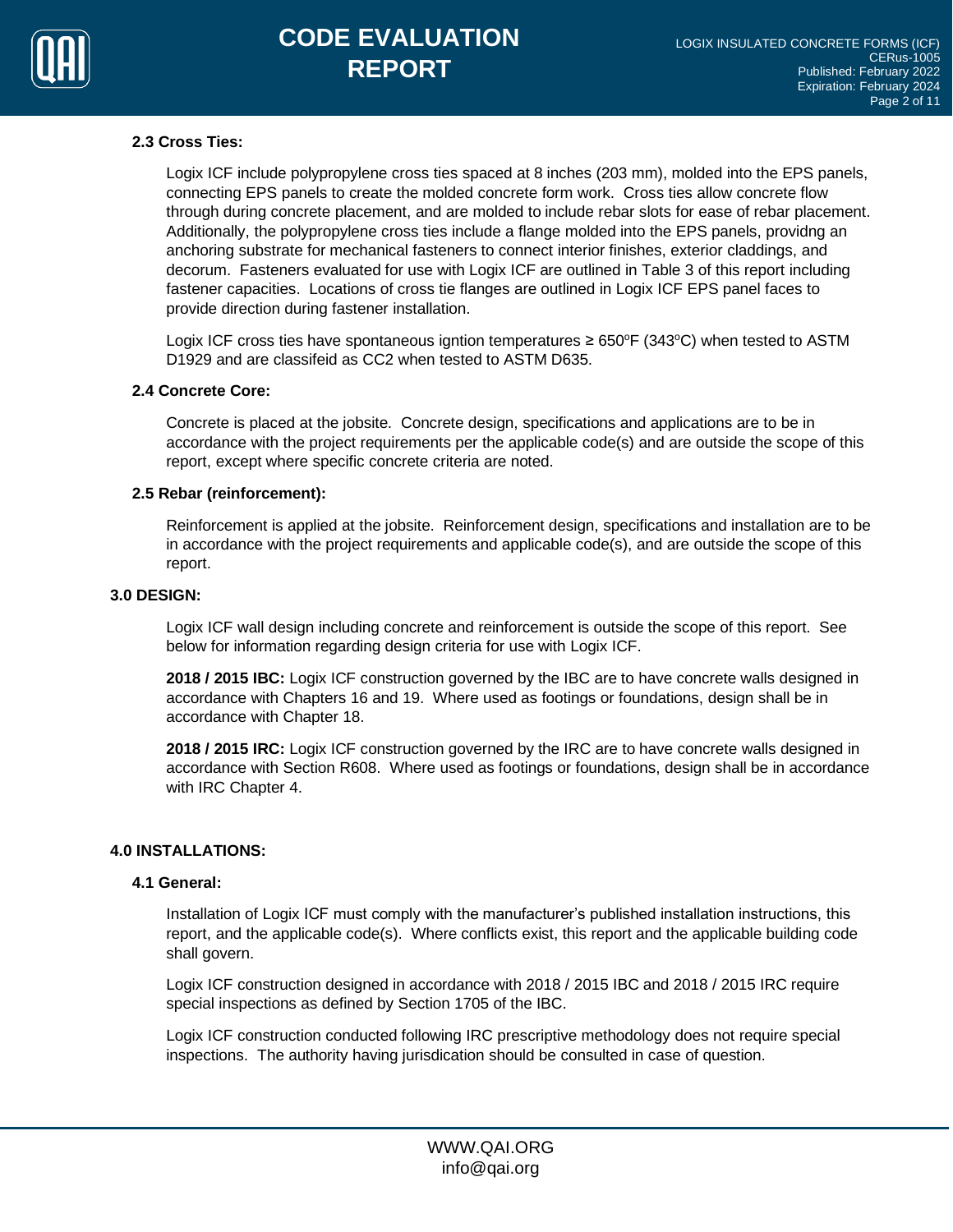

## **2.3 Cross Ties:**

Logix ICF include polypropylene cross ties spaced at 8 inches (203 mm), molded into the EPS panels, connecting EPS panels to create the molded concrete form work. Cross ties allow concrete flow through during concrete placement, and are molded to include rebar slots for ease of rebar placement. Additionally, the polypropylene cross ties include a flange molded into the EPS panels, providng an anchoring substrate for mechanical fasteners to connect interior finishes, exterior claddings, and decorum. Fasteners evaluated for use with Logix ICF are outlined in Table 3 of this report including fastener capacities. Locations of cross tie flanges are outlined in Logix ICF EPS panel faces to provide direction during fastener installation.

Logix ICF cross ties have spontaneous igntion temperatures  $\geq 650^{\circ}F(343^{\circ}C)$  when tested to ASTM D1929 and are classifeid as CC2 when tested to ASTM D635.

#### **2.4 Concrete Core:**

Concrete is placed at the jobsite. Concrete design, specifications and applications are to be in accordance with the project requirements per the applicable code(s) and are outside the scope of this report, except where specific concrete criteria are noted.

#### **2.5 Rebar (reinforcement):**

Reinforcement is applied at the jobsite. Reinforcement design, specifications and installation are to be in accordance with the project requirements and applicable code(s), and are outside the scope of this report.

#### **3.0 DESIGN:**

Logix ICF wall design including concrete and reinforcement is outside the scope of this report. See below for information regarding design criteria for use with Logix ICF.

**2018 / 2015 IBC:** Logix ICF construction governed by the IBC are to have concrete walls designed in accordance with Chapters 16 and 19. Where used as footings or foundations, design shall be in accordance with Chapter 18.

**2018 / 2015 IRC:** Logix ICF construction governed by the IRC are to have concrete walls designed in accordance with Section R608. Where used as footings or foundations, design shall be in accordance with IRC Chapter 4.

#### **4.0 INSTALLATIONS:**

#### **4.1 General:**

Installation of Logix ICF must comply with the manufacturer's published installation instructions, this report, and the applicable code(s). Where conflicts exist, this report and the applicable building code shall govern.

Logix ICF construction designed in accordance with 2018 / 2015 IBC and 2018 / 2015 IRC require special inspections as defined by Section 1705 of the IBC.

Logix ICF construction conducted following IRC prescriptive methodology does not require special inspections. The authority having jurisdication should be consulted in case of question.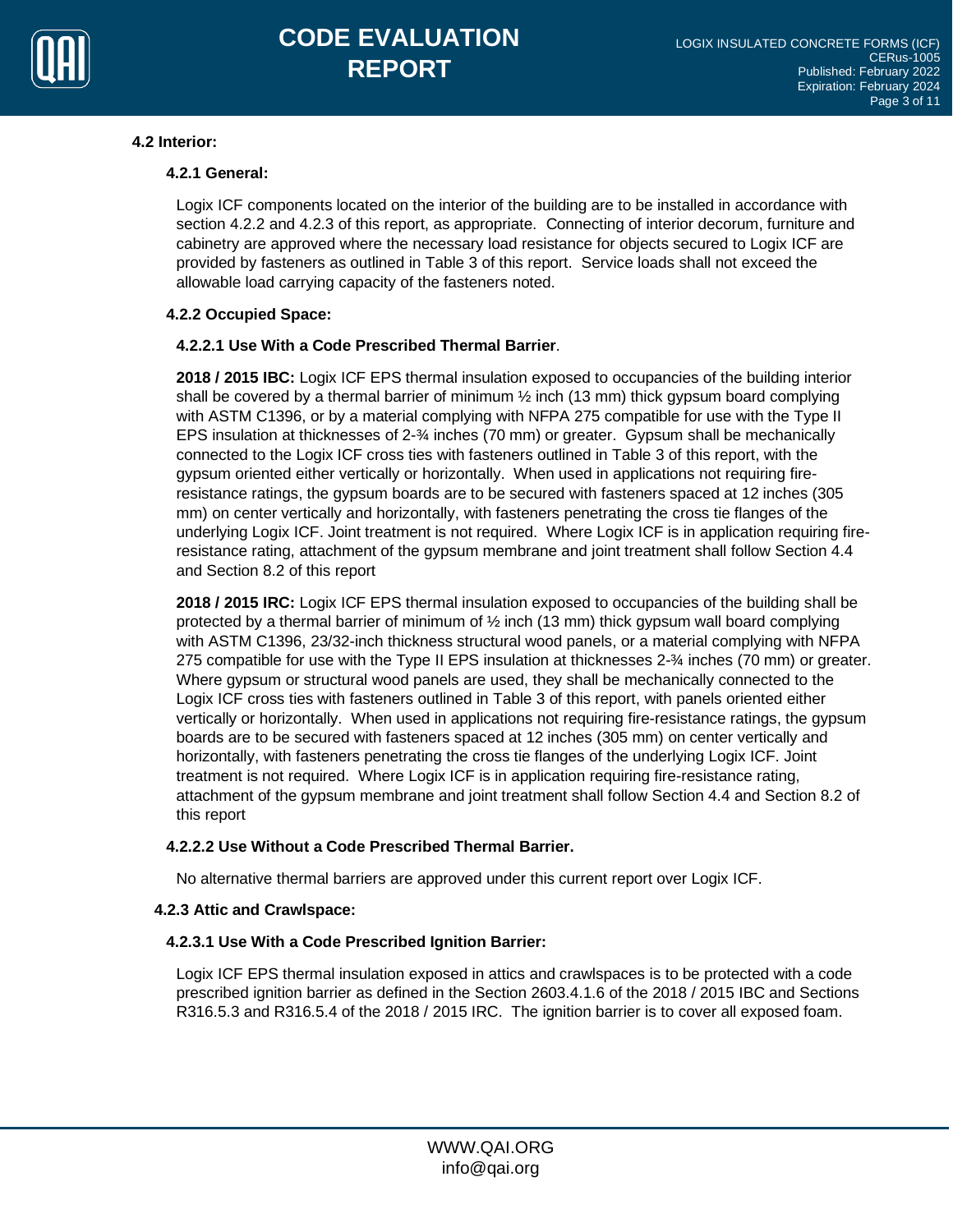

## **4.2 Interior:**

## **4.2.1 General:**

Logix ICF components located on the interior of the building are to be installed in accordance with section 4.2.2 and 4.2.3 of this report, as appropriate. Connecting of interior decorum, furniture and cabinetry are approved where the necessary load resistance for objects secured to Logix ICF are provided by fasteners as outlined in Table 3 of this report. Service loads shall not exceed the allowable load carrying capacity of the fasteners noted.

## **4.2.2 Occupied Space:**

### **4.2.2.1 Use With a Code Prescribed Thermal Barrier**.

**2018 / 2015 IBC:** Logix ICF EPS thermal insulation exposed to occupancies of the building interior shall be covered by a thermal barrier of minimum  $\frac{1}{2}$  inch (13 mm) thick gypsum board complying with ASTM C1396, or by a material complying with NFPA 275 compatible for use with the Type II EPS insulation at thicknesses of 2-34 inches (70 mm) or greater. Gypsum shall be mechanically connected to the Logix ICF cross ties with fasteners outlined in Table 3 of this report, with the gypsum oriented either vertically or horizontally. When used in applications not requiring fireresistance ratings, the gypsum boards are to be secured with fasteners spaced at 12 inches (305 mm) on center vertically and horizontally, with fasteners penetrating the cross tie flanges of the underlying Logix ICF. Joint treatment is not required. Where Logix ICF is in application requiring fireresistance rating, attachment of the gypsum membrane and joint treatment shall follow Section 4.4 and Section 8.2 of this report

**2018 / 2015 IRC:** Logix ICF EPS thermal insulation exposed to occupancies of the building shall be protected by a thermal barrier of minimum of ½ inch (13 mm) thick gypsum wall board complying with ASTM C1396, 23/32-inch thickness structural wood panels, or a material complying with NFPA 275 compatible for use with the Type II EPS insulation at thicknesses 2-¾ inches (70 mm) or greater. Where gypsum or structural wood panels are used, they shall be mechanically connected to the Logix ICF cross ties with fasteners outlined in Table 3 of this report, with panels oriented either vertically or horizontally. When used in applications not requiring fire-resistance ratings, the gypsum boards are to be secured with fasteners spaced at 12 inches (305 mm) on center vertically and horizontally, with fasteners penetrating the cross tie flanges of the underlying Logix ICF. Joint treatment is not required. Where Logix ICF is in application requiring fire-resistance rating, attachment of the gypsum membrane and joint treatment shall follow Section 4.4 and Section 8.2 of this report

#### **4.2.2.2 Use Without a Code Prescribed Thermal Barrier.**

No alternative thermal barriers are approved under this current report over Logix ICF.

## **4.2.3 Attic and Crawlspace:**

## **4.2.3.1 Use With a Code Prescribed Ignition Barrier:**

Logix ICF EPS thermal insulation exposed in attics and crawlspaces is to be protected with a code prescribed ignition barrier as defined in the Section 2603.4.1.6 of the 2018 / 2015 IBC and Sections R316.5.3 and R316.5.4 of the 2018 / 2015 IRC. The ignition barrier is to cover all exposed foam.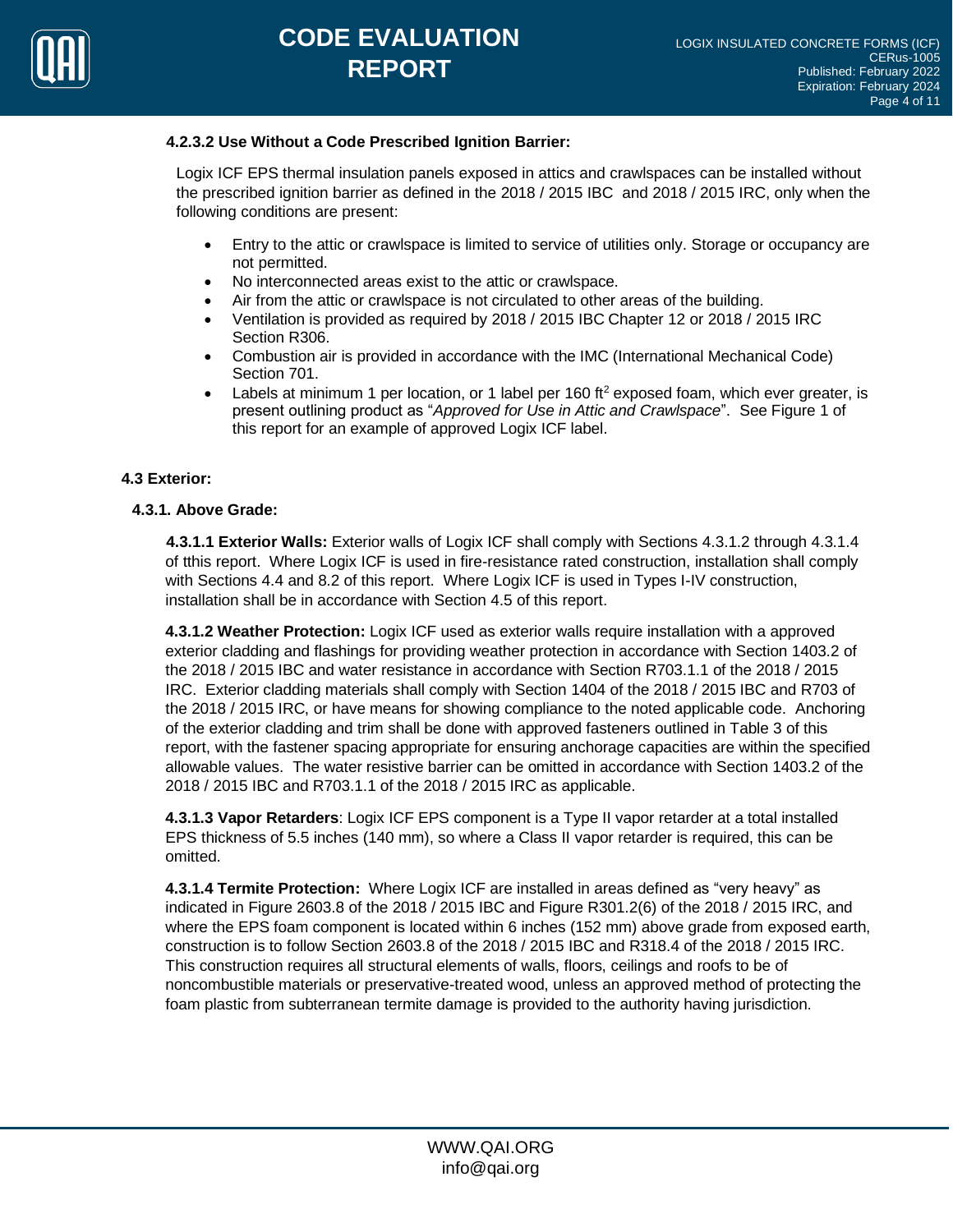

#### **4.2.3.2 Use Without a Code Prescribed Ignition Barrier:**

Logix ICF EPS thermal insulation panels exposed in attics and crawlspaces can be installed without the prescribed ignition barrier as defined in the 2018 / 2015 IBC and 2018 / 2015 IRC, only when the following conditions are present:

- Entry to the attic or crawlspace is limited to service of utilities only. Storage or occupancy are not permitted.
- No interconnected areas exist to the attic or crawlspace.
- Air from the attic or crawlspace is not circulated to other areas of the building.
- Ventilation is provided as required by 2018 / 2015 IBC Chapter 12 or 2018 / 2015 IRC Section R306.
- Combustion air is provided in accordance with the IMC (International Mechanical Code) Section 701.
- Labels at minimum 1 per location, or 1 label per 160 ft<sup>2</sup> exposed foam, which ever greater, is present outlining product as "*Approved for Use in Attic and Crawlspace*". See Figure 1 of this report for an example of approved Logix ICF label.

#### **4.3 Exterior:**

#### **4.3.1. Above Grade:**

**4.3.1.1 Exterior Walls:** Exterior walls of Logix ICF shall comply with Sections 4.3.1.2 through 4.3.1.4 of tthis report. Where Logix ICF is used in fire-resistance rated construction, installation shall comply with Sections 4.4 and 8.2 of this report. Where Logix ICF is used in Types I-IV construction, installation shall be in accordance with Section 4.5 of this report.

**4.3.1.2 Weather Protection:** Logix ICF used as exterior walls require installation with a approved exterior cladding and flashings for providing weather protection in accordance with Section 1403.2 of the 2018 / 2015 IBC and water resistance in accordance with Section R703.1.1 of the 2018 / 2015 IRC. Exterior cladding materials shall comply with Section 1404 of the 2018 / 2015 IBC and R703 of the 2018 / 2015 IRC, or have means for showing compliance to the noted applicable code. Anchoring of the exterior cladding and trim shall be done with approved fasteners outlined in Table 3 of this report, with the fastener spacing appropriate for ensuring anchorage capacities are within the specified allowable values. The water resistive barrier can be omitted in accordance with Section 1403.2 of the 2018 / 2015 IBC and R703.1.1 of the 2018 / 2015 IRC as applicable.

**4.3.1.3 Vapor Retarders**: Logix ICF EPS component is a Type II vapor retarder at a total installed EPS thickness of 5.5 inches (140 mm), so where a Class II vapor retarder is required, this can be omitted.

**4.3.1.4 Termite Protection:** Where Logix ICF are installed in areas defined as "very heavy" as indicated in Figure 2603.8 of the 2018 / 2015 IBC and Figure R301.2(6) of the 2018 / 2015 IRC, and where the EPS foam component is located within 6 inches (152 mm) above grade from exposed earth, construction is to follow Section 2603.8 of the 2018 / 2015 IBC and R318.4 of the 2018 / 2015 IRC. This construction requires all structural elements of walls, floors, ceilings and roofs to be of noncombustible materials or preservative-treated wood, unless an approved method of protecting the foam plastic from subterranean termite damage is provided to the authority having jurisdiction.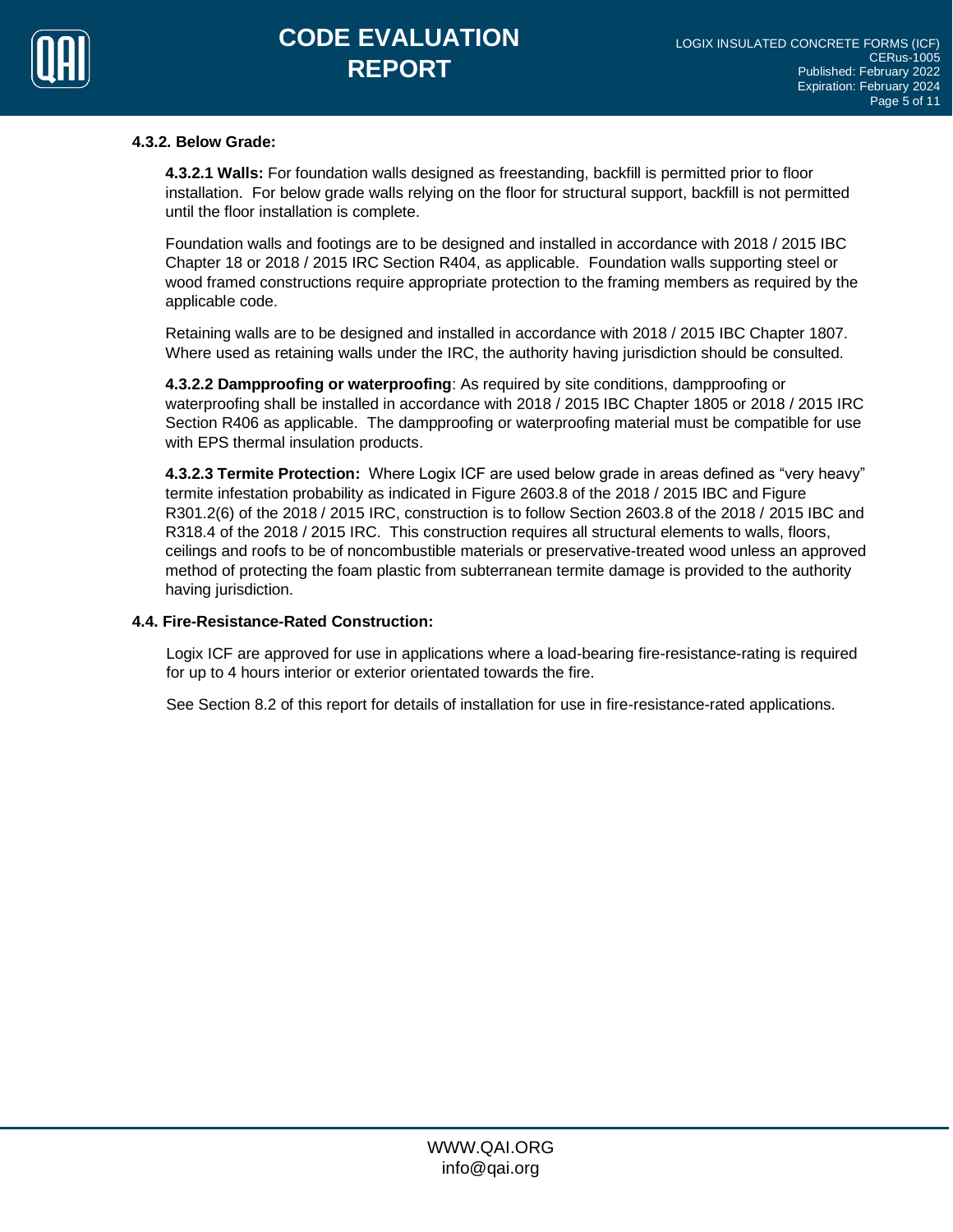

## **4.3.2. Below Grade:**

**4.3.2.1 Walls:** For foundation walls designed as freestanding, backfill is permitted prior to floor installation. For below grade walls relying on the floor for structural support, backfill is not permitted until the floor installation is complete.

Foundation walls and footings are to be designed and installed in accordance with 2018 / 2015 IBC Chapter 18 or 2018 / 2015 IRC Section R404, as applicable. Foundation walls supporting steel or wood framed constructions require appropriate protection to the framing members as required by the applicable code.

Retaining walls are to be designed and installed in accordance with 2018 / 2015 IBC Chapter 1807. Where used as retaining walls under the IRC, the authority having jurisdiction should be consulted.

**4.3.2.2 Dampproofing or waterproofing**: As required by site conditions, dampproofing or waterproofing shall be installed in accordance with 2018 / 2015 IBC Chapter 1805 or 2018 / 2015 IRC Section R406 as applicable. The dampproofing or waterproofing material must be compatible for use with EPS thermal insulation products.

**4.3.2.3 Termite Protection:** Where Logix ICF are used below grade in areas defined as "very heavy" termite infestation probability as indicated in Figure 2603.8 of the 2018 / 2015 IBC and Figure R301.2(6) of the 2018 / 2015 IRC, construction is to follow Section 2603.8 of the 2018 / 2015 IBC and R318.4 of the 2018 / 2015 IRC. This construction requires all structural elements to walls, floors, ceilings and roofs to be of noncombustible materials or preservative-treated wood unless an approved method of protecting the foam plastic from subterranean termite damage is provided to the authority having jurisdiction.

#### **4.4. Fire-Resistance-Rated Construction:**

Logix ICF are approved for use in applications where a load-bearing fire-resistance-rating is required for up to 4 hours interior or exterior orientated towards the fire.

See Section 8.2 of this report for details of installation for use in fire-resistance-rated applications.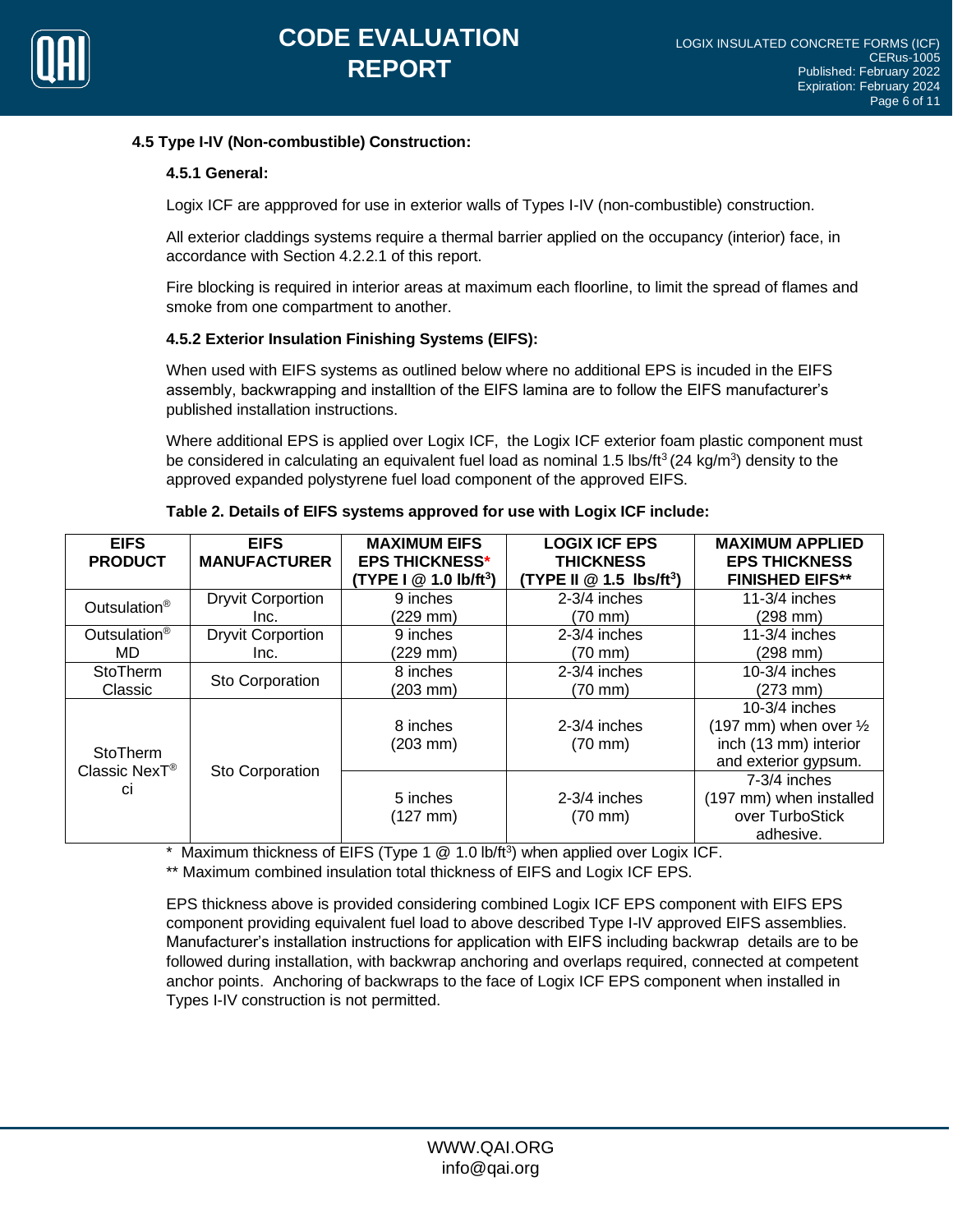

### **4.5 Type I-IV (Non-combustible) Construction:**

### **4.5.1 General:**

Logix ICF are appproved for use in exterior walls of Types I-IV (non-combustible) construction.

All exterior claddings systems require a thermal barrier applied on the occupancy (interior) face, in accordance with Section 4.2.2.1 of this report.

Fire blocking is required in interior areas at maximum each floorline, to limit the spread of flames and smoke from one compartment to another.

## **4.5.2 Exterior Insulation Finishing Systems (EIFS):**

When used with EIFS systems as outlined below where no additional EPS is incuded in the EIFS assembly, backwrapping and installtion of the EIFS lamina are to follow the EIFS manufacturer's published installation instructions.

Where additional EPS is applied over Logix ICF, the Logix ICF exterior foam plastic component must be considered in calculating an equivalent fuel load as nominal 1.5 lbs/ft<sup>3</sup> (24 kg/m<sup>3</sup>) density to the approved expanded polystyrene fuel load component of the approved EIFS.

| <b>EIFS</b><br><b>PRODUCT</b>                      | <b>EIFS</b><br><b>MANUFACTURER</b> | <b>MAXIMUM EIFS</b><br><b>EPS THICKNESS*</b><br>(TYPE I @ 1.0 lb/ft <sup>3</sup> ) | <b>LOGIX ICF EPS</b><br><b>THICKNESS</b><br>(TYPE II $@1.5$ lbs/ft <sup>3</sup> ) | <b>MAXIMUM APPLIED</b><br><b>EPS THICKNESS</b><br><b>FINISHED EIFS**</b>                             |
|----------------------------------------------------|------------------------------------|------------------------------------------------------------------------------------|-----------------------------------------------------------------------------------|------------------------------------------------------------------------------------------------------|
| Outsulation <sup>®</sup>                           | <b>Dryvit Corportion</b>           | 9 inches                                                                           | $2-3/4$ inches                                                                    | $11-3/4$ inches                                                                                      |
|                                                    | Inc.                               | $(229$ mm $)$                                                                      | $(70$ mm $)$                                                                      | $(298$ mm $)$                                                                                        |
| Outsulation <sup>®</sup>                           | <b>Dryvit Corportion</b>           | 9 inches                                                                           | 2-3/4 inches                                                                      | $11-3/4$ inches                                                                                      |
| MD.                                                | Inc.                               | $(229 \text{ mm})$                                                                 | $(70 \text{ mm})$                                                                 | $(298 \, \text{mm})$                                                                                 |
| <b>StoTherm</b>                                    | Sto Corporation                    | 8 inches                                                                           | $2-3/4$ inches                                                                    | $10-3/4$ inches                                                                                      |
| Classic                                            |                                    | $(203 \, \text{mm})$                                                               | $(70 \text{ mm})$                                                                 | $(273$ mm)                                                                                           |
| <b>StoTherm</b><br>Classic NexT <sup>®</sup><br>Сİ | Sto Corporation                    | 8 inches<br>$(203 \, \text{mm})$                                                   | $2-3/4$ inches<br>$(70 \text{ mm})$                                               | $10-3/4$ inches<br>(197 mm) when over $\frac{1}{2}$<br>inch (13 mm) interior<br>and exterior gypsum. |
|                                                    |                                    | 5 inches<br>$(127 \, \text{mm})$                                                   | $2-3/4$ inches<br>$(70 \text{ mm})$                                               | $7-3/4$ inches<br>(197 mm) when installed<br>over TurboStick<br>adhesive.                            |

|  | Table 2. Details of EIFS systems approved for use with Logix ICF include: |
|--|---------------------------------------------------------------------------|
|  |                                                                           |

\* Maximum thickness of EIFS (Type 1 @ 1.0 lb/ft<sup>3</sup>) when applied over Logix ICF.

\*\* Maximum combined insulation total thickness of EIFS and Logix ICF EPS.

EPS thickness above is provided considering combined Logix ICF EPS component with EIFS EPS component providing equivalent fuel load to above described Type I-IV approved EIFS assemblies. Manufacturer's installation instructions for application with EIFS including backwrap details are to be followed during installation, with backwrap anchoring and overlaps required, connected at competent anchor points. Anchoring of backwraps to the face of Logix ICF EPS component when installed in Types I-IV construction is not permitted.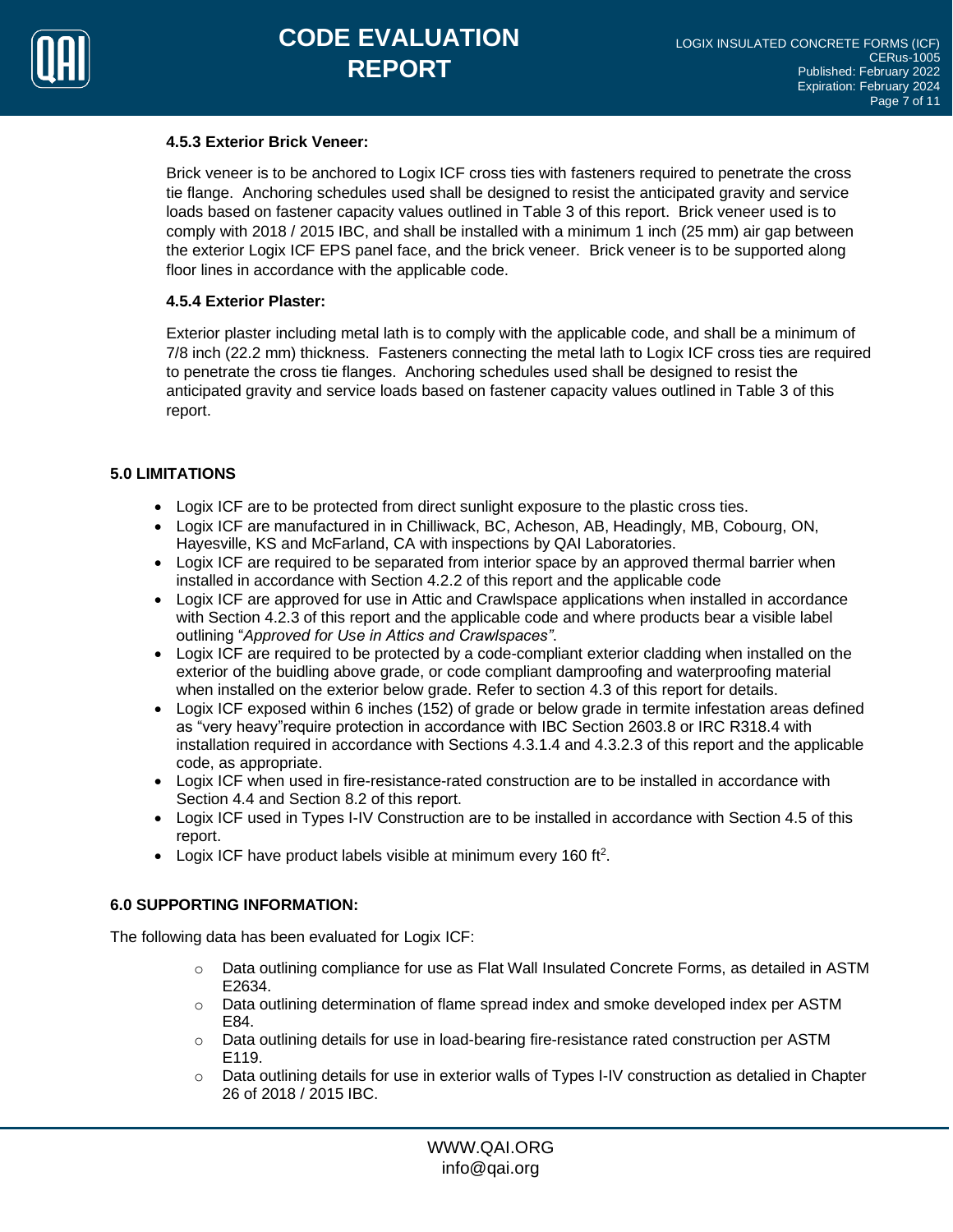

#### **4.5.3 Exterior Brick Veneer:**

Brick veneer is to be anchored to Logix ICF cross ties with fasteners required to penetrate the cross tie flange. Anchoring schedules used shall be designed to resist the anticipated gravity and service loads based on fastener capacity values outlined in Table 3 of this report. Brick veneer used is to comply with 2018 / 2015 IBC, and shall be installed with a minimum 1 inch (25 mm) air gap between the exterior Logix ICF EPS panel face, and the brick veneer. Brick veneer is to be supported along floor lines in accordance with the applicable code.

#### **4.5.4 Exterior Plaster:**

Exterior plaster including metal lath is to comply with the applicable code, and shall be a minimum of 7/8 inch (22.2 mm) thickness. Fasteners connecting the metal lath to Logix ICF cross ties are required to penetrate the cross tie flanges. Anchoring schedules used shall be designed to resist the anticipated gravity and service loads based on fastener capacity values outlined in Table 3 of this report.

### **5.0 LIMITATIONS**

- Logix ICF are to be protected from direct sunlight exposure to the plastic cross ties.
- Logix ICF are manufactured in in Chilliwack, BC, Acheson, AB, Headingly, MB, Cobourg, ON, Hayesville, KS and McFarland, CA with inspections by QAI Laboratories.
- Logix ICF are required to be separated from interior space by an approved thermal barrier when installed in accordance with Section 4.2.2 of this report and the applicable code
- Logix ICF are approved for use in Attic and Crawlspace applications when installed in accordance with Section 4.2.3 of this report and the applicable code and where products bear a visible label outlining "*Approved for Use in Attics and Crawlspaces"*.
- Logix ICF are required to be protected by a code-compliant exterior cladding when installed on the exterior of the buidling above grade, or code compliant damproofing and waterproofing material when installed on the exterior below grade. Refer to section 4.3 of this report for details.
- Logix ICF exposed within 6 inches (152) of grade or below grade in termite infestation areas defined as "very heavy"require protection in accordance with IBC Section 2603.8 or IRC R318.4 with installation required in accordance with Sections 4.3.1.4 and 4.3.2.3 of this report and the applicable code, as appropriate.
- Logix ICF when used in fire-resistance-rated construction are to be installed in accordance with Section 4.4 and Section 8.2 of this report.
- Logix ICF used in Types I-IV Construction are to be installed in accordance with Section 4.5 of this report.
- Logix ICF have product labels visible at minimum every 160 ft<sup>2</sup>.

#### **6.0 SUPPORTING INFORMATION:**

The following data has been evaluated for Logix ICF:

- $\circ$  Data outlining compliance for use as Flat Wall Insulated Concrete Forms, as detailed in ASTM E2634.
- $\circ$  Data outlining determination of flame spread index and smoke developed index per ASTM E84.
- $\circ$  Data outlining details for use in load-bearing fire-resistance rated construction per ASTM E119.
- o Data outlining details for use in exterior walls of Types I-IV construction as detalied in Chapter 26 of 2018 / 2015 IBC.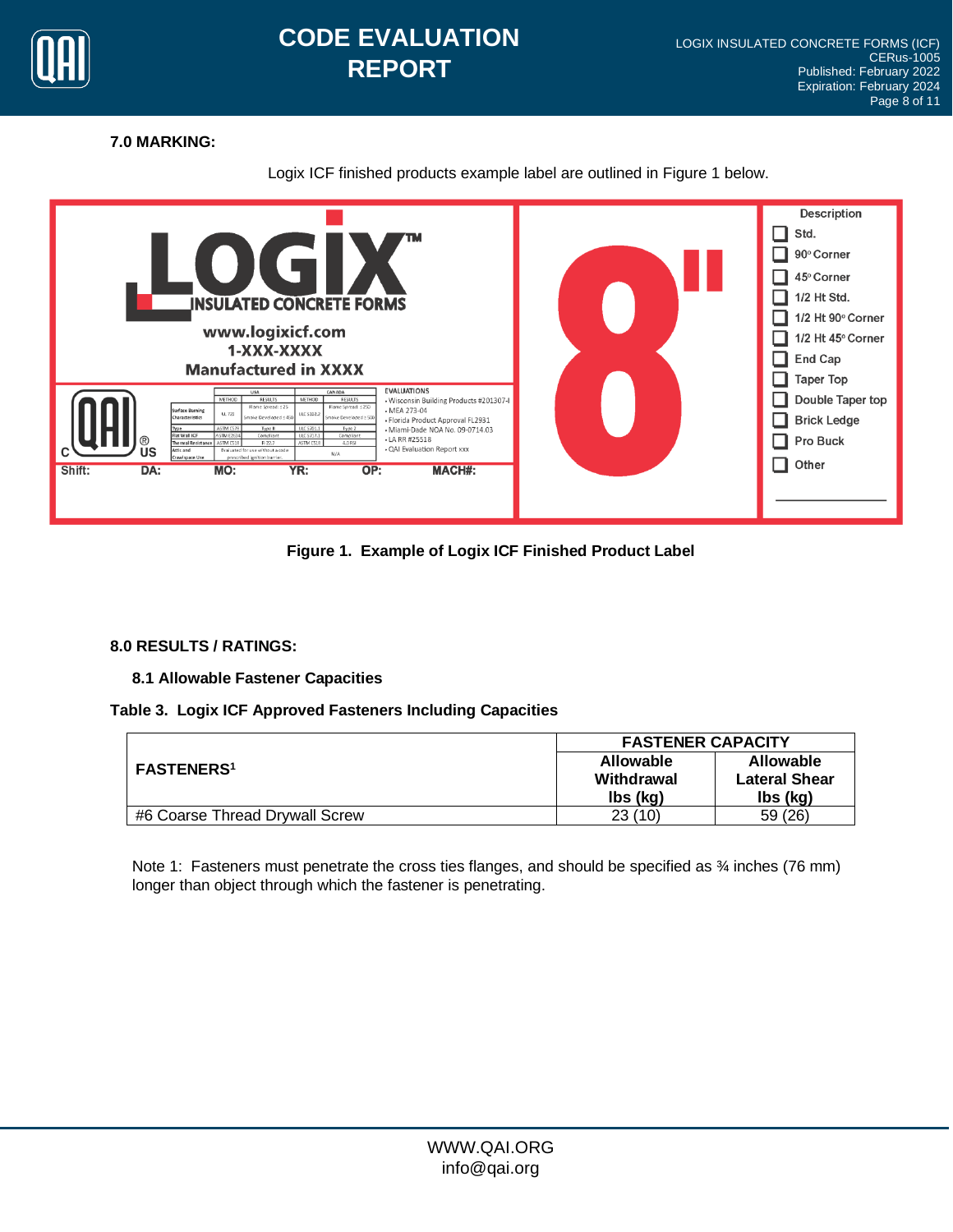

## **CODE EVALUATION REPORT**

## **7.0 MARKING:**

## Logix ICF finished products example label are outlined in Figure 1 below.



**Figure 1. Example of Logix ICF Finished Product Label**

## **8.0 RESULTS / RATINGS:**

**8.1 Allowable Fastener Capacities**

## **Table 3. Logix ICF Approved Fasteners Including Capacities**

|                                | <b>FASTENER CAPACITY</b>                   |                                                      |  |
|--------------------------------|--------------------------------------------|------------------------------------------------------|--|
| <b>FASTENERS<sup>1</sup></b>   | <b>Allowable</b><br>Withdrawal<br>lbs (kg) | <b>Allowable</b><br><b>Lateral Shear</b><br>lbs (kg) |  |
| #6 Coarse Thread Drywall Screw | 23(10)                                     | 59 (26)                                              |  |

Note 1: Fasteners must penetrate the cross ties flanges, and should be specified as  $\frac{3}{4}$  inches (76 mm) longer than object through which the fastener is penetrating.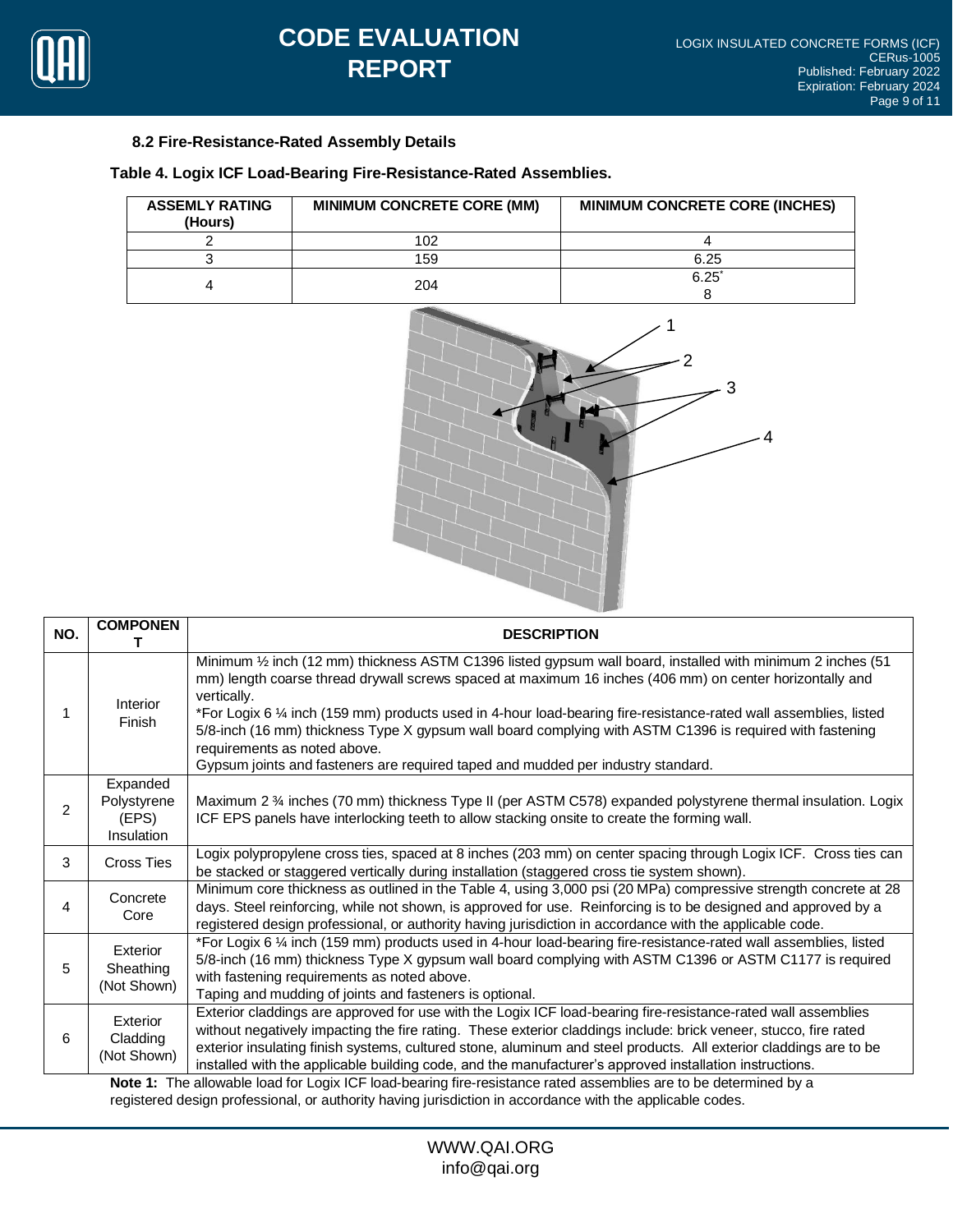

## **8.2 Fire-Resistance-Rated Assembly Details**

**Table 4. Logix ICF Load-Bearing Fire-Resistance-Rated Assemblies.**

| <b>ASSEMLY RATING</b><br>(Hours) | <b>MINIMUM CONCRETE CORE (MM)</b> | <b>MINIMUM CONCRETE CORE (INCHES)</b> |
|----------------------------------|-----------------------------------|---------------------------------------|
|                                  | 102                               |                                       |
|                                  | 159                               | 6.25                                  |
|                                  | 204                               | $6.25^{\circ}$                        |
|                                  |                                   |                                       |



| NO.            | <b>COMPONEN</b>                                    | <b>DESCRIPTION</b>                                                                                                                                                                                                                                                                                                                                                                                                                                                                                                                                                                                                          |
|----------------|----------------------------------------------------|-----------------------------------------------------------------------------------------------------------------------------------------------------------------------------------------------------------------------------------------------------------------------------------------------------------------------------------------------------------------------------------------------------------------------------------------------------------------------------------------------------------------------------------------------------------------------------------------------------------------------------|
|                | Interior<br>Finish                                 | Minimum 1/2 inch (12 mm) thickness ASTM C1396 listed gypsum wall board, installed with minimum 2 inches (51<br>mm) length coarse thread drywall screws spaced at maximum 16 inches (406 mm) on center horizontally and<br>vertically.<br>*For Logix 6 1/4 inch (159 mm) products used in 4-hour load-bearing fire-resistance-rated wall assemblies, listed<br>5/8-inch (16 mm) thickness Type X gypsum wall board complying with ASTM C1396 is required with fastening<br>requirements as noted above.<br>Gypsum joints and fasteners are required taped and mudded per industry standard.                                  |
| $\overline{2}$ | Expanded<br>Polystyrene<br>(EPS)<br>Insulation     | Maximum 2 % inches (70 mm) thickness Type II (per ASTM C578) expanded polystyrene thermal insulation. Logix<br>ICF EPS panels have interlocking teeth to allow stacking onsite to create the forming wall.                                                                                                                                                                                                                                                                                                                                                                                                                  |
| 3              | <b>Cross Ties</b>                                  | Logix polypropylene cross ties, spaced at 8 inches (203 mm) on center spacing through Logix ICF. Cross ties can<br>be stacked or staggered vertically during installation (staggered cross tie system shown).                                                                                                                                                                                                                                                                                                                                                                                                               |
| 4              | Concrete<br>Core                                   | Minimum core thickness as outlined in the Table 4, using 3,000 psi (20 MPa) compressive strength concrete at 28<br>days. Steel reinforcing, while not shown, is approved for use. Reinforcing is to be designed and approved by a<br>registered design professional, or authority having jurisdiction in accordance with the applicable code.                                                                                                                                                                                                                                                                               |
| 5              | Exterior<br>Sheathing<br>(Not Shown)               | *For Logix 6 1/4 inch (159 mm) products used in 4-hour load-bearing fire-resistance-rated wall assemblies, listed<br>5/8-inch (16 mm) thickness Type X gypsum wall board complying with ASTM C1396 or ASTM C1177 is required<br>with fastening requirements as noted above.<br>Taping and mudding of joints and fasteners is optional.                                                                                                                                                                                                                                                                                      |
| 6              | Exterior<br>Cladding<br>(Not Shown)<br>トリーエー・オー・エル | Exterior claddings are approved for use with the Logix ICF load-bearing fire-resistance-rated wall assemblies<br>without negatively impacting the fire rating. These exterior claddings include: brick veneer, stucco, fire rated<br>exterior insulating finish systems, cultured stone, aluminum and steel products. All exterior claddings are to be<br>installed with the applicable building code, and the manufacturer's approved installation instructions.<br>alla condita to a different control. De terral la control de la condita de la condita de la condita de la condita del decorato de la condita del terra |

**Note 1:** The allowable load for Logix ICF load-bearing fire-resistance rated assemblies are to be determined by a registered design professional, or authority having jurisdiction in accordance with the applicable codes.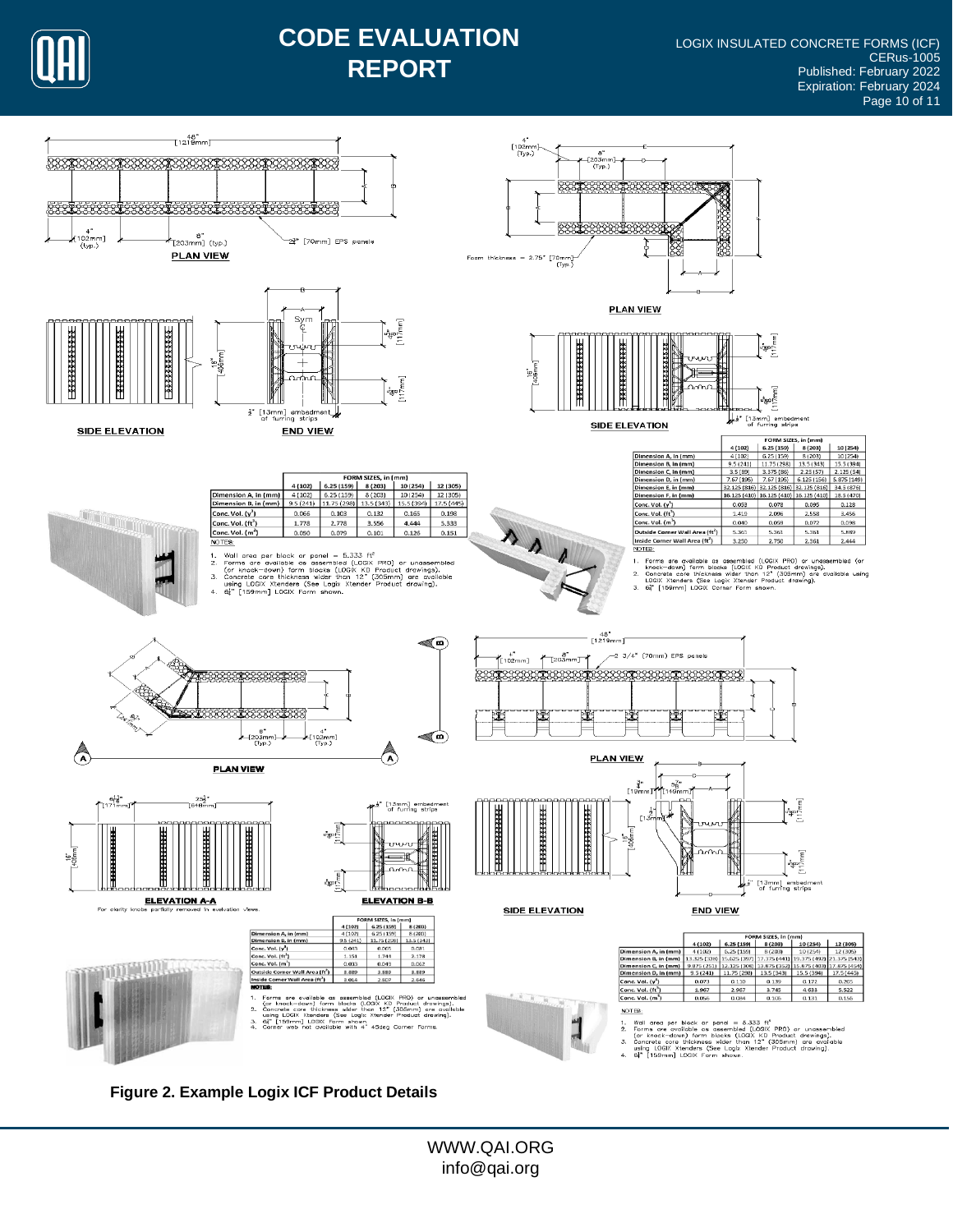

## **CODE EVALUATION REPORT**



**Figure 2. Example Logix ICF Product Details**